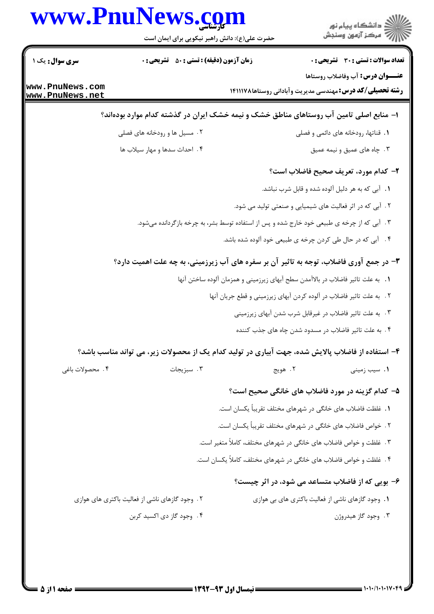|                                    | www.PnuNews.com<br>حضرت علی(ع): دانش راهبر نیکویی برای ایمان است                                  |                                                                                  | ر<br>دانشڪاه پيام نور)<br>اڳ مرڪز آزمون وسنڊش                                                               |
|------------------------------------|---------------------------------------------------------------------------------------------------|----------------------------------------------------------------------------------|-------------------------------------------------------------------------------------------------------------|
| سری سوال: یک ۱                     | <b>زمان آزمون (دقیقه) : تستی : 50 ٪ تشریحی : 0</b>                                                |                                                                                  | <b>تعداد سوالات : تستی : 30 ٪ تشریحی : 0</b>                                                                |
| www.PnuNews.com<br>www.PnuNews.net |                                                                                                   |                                                                                  | <b>عنـــوان درس:</b> آب وفاضلاب روستاها<br><b>رشته تحصیلی/کد درس:</b> مهندسی مدیریت وآبادانی روستاها۱۴۱۱۱۷۸ |
|                                    | ا– منابع اصلی تامین آب روستاهای مناطق خشک و نیمه خشک ایران در گذشته کدام موارد بودهاند؟           |                                                                                  |                                                                                                             |
|                                    | ۰۲ مسیل ها و رودخانه های فصلی                                                                     |                                                                                  | ٠١. قناتها، رودخانه هاي دائمي و فصلي                                                                        |
|                                    | ۴. احداث سدها و مهار سيلاب ها                                                                     |                                                                                  | ۰۳ جاه های عمیق و نیمه عمیق                                                                                 |
|                                    |                                                                                                   |                                                                                  | ۲- کدام مورد، تعریف صحیح فاضلاب است؟                                                                        |
|                                    |                                                                                                   |                                                                                  | ۰۱ آبی که به هر دلیل آلوده شده و قابل شرب نباشد.                                                            |
|                                    |                                                                                                   | ۲. آبی که در اثر فعالیت های شیمیایی و صنعتی تولید می شود.                        |                                                                                                             |
|                                    | ۰۳ آبی که از چرخه ی طبیعی خود خارج شده و پس از استفاده توسط بشر، به چرخه بازگردانده میشود.        |                                                                                  |                                                                                                             |
|                                    |                                                                                                   | ۰۴ آبی که در حال طی کردن چرخه ی طبیعی خود آلوده شده باشد.                        |                                                                                                             |
|                                    | ۳- در جمع آوری فاضلاب، توجه به تاثیر آن بر سفره های آب زیرزمینی، به چه علت اهمیت دارد؟            |                                                                                  |                                                                                                             |
|                                    |                                                                                                   | ٠١. به علت تاثير فاضلاب در بالاآمدن سطح آبهاي زيرزميني و همزمان آلوده ساختن آنها |                                                                                                             |
|                                    |                                                                                                   | ٢. به علت تاثير فاضلاب در آلوده كردن آبهاى زيرزميني و قطع جريان آنها             |                                                                                                             |
|                                    |                                                                                                   | ۰۳ . به علت تاثیر فاضلاب در غیرقابل شرب شدن آبهای زیرزمینی                       |                                                                                                             |
|                                    |                                                                                                   | ۴. به علت تاثیر فاضلاب در مسدود شدن چاه های جذب کننده                            |                                                                                                             |
|                                    | ۴– استفاده از فاضلاب پالایش شده، جهت آبیاری در تولید کدام یک از محصولات زیر، می تواند مناسب باشد؟ |                                                                                  |                                                                                                             |
| ۴. محصولات باغي                    | ۰۳ سبزیجات                                                                                        | ۰۲ هويج                                                                          | ۰۱ سیب زمینی                                                                                                |
|                                    |                                                                                                   |                                                                                  | ۵– کدام گزینه در مورد فاضلاب های خانگی صحیح است؟                                                            |
|                                    |                                                                                                   | 1. غلظت فاضلاب های خانگی در شهرهای مختلف تقریباً یکسان است.                      |                                                                                                             |
|                                    |                                                                                                   | ۲ . خواص فاضلاب های خانگی در شهرهای مختلف تقریباً یکسان است.                     |                                                                                                             |
|                                    |                                                                                                   | ۳. غلظت و خواص فاضلاب های خانگی در شهرهای مختلف، کاملاً متغیر است.               |                                                                                                             |
|                                    |                                                                                                   | ۴ . غلظت و خواص فاضلاب های خانگی در شهرهای مختلف، کاملاً یکسان است.              |                                                                                                             |
|                                    |                                                                                                   |                                                                                  | ۶- بویی که از فاضلاب متساعد می شود، در اثر چیست؟                                                            |
|                                    | ۲. وجود گازهای ناشی از فعالیت باکتری های هوازی                                                    |                                                                                  | ۰۱ وجود گازهای ناشی از فعالیت باکتری های بی هوازی                                                           |
|                                    | ۰۴ وجود گاز دی اکسید کربن                                                                         |                                                                                  | ۰۳ وجود گاز هیدروژن                                                                                         |
|                                    |                                                                                                   |                                                                                  |                                                                                                             |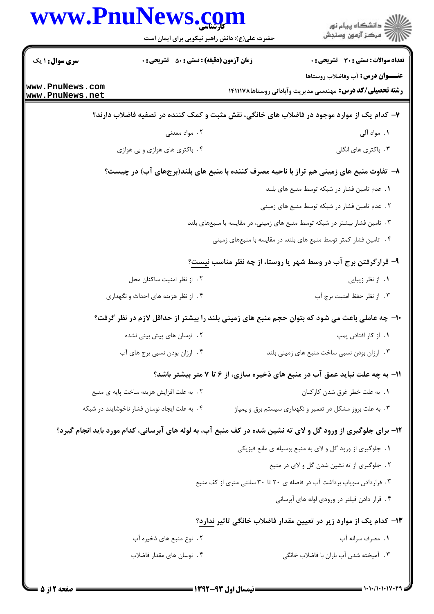| www.PnuNews.com                    | حضرت علی(ع): دانش راهبر نیکویی برای ایمان است      | ر<br>دانشڪاه پيام نور)<br>ا∛ مرڪز آزمون وسنڊش                                                                |
|------------------------------------|----------------------------------------------------|--------------------------------------------------------------------------------------------------------------|
| <b>سری سوال : ۱ یک</b>             | <b>زمان آزمون (دقیقه) : تستی : 50 ٪ تشریحی : 0</b> | <b>تعداد سوالات : تستي : 30 ٪ تشريحي : 0</b>                                                                 |
| www.PnuNews.com<br>www.PnuNews.net |                                                    | <b>عنـــوان درس:</b> آب وفاضلاب روستاها<br><b>رشته تحصیلی/کد درس:</b> مهندسی مدیریت وآبادانی روستاها۱۴۱۱۱۷۸  |
|                                    |                                                    | ۷- کدام یک از موارد موجود در فاضلاب های خانگی، نقش مثبت و کمک کننده در تصفیه فاضلاب دارند؟                   |
|                                    | ۰۲ مواد معدنی                                      | ۱. مواد آلی                                                                                                  |
|                                    | ۰۴ باکتری های هوازی و بی هوازی                     | ۰۳ باکتری های انگلی                                                                                          |
|                                    |                                                    | ۸– تفاوت منبع های زمینی هم تراز با ناحیه مصرف کننده با منبع های بلند(برجهای آب) در چیست؟                     |
|                                    |                                                    | ٠. عدم تامين فشار در شبكه توسط منبع هاى بلند                                                                 |
|                                    |                                                    | ۲. عدم تامین فشار در شبکه توسط منبع های زمینی                                                                |
|                                    |                                                    | ۰۳ تامین فشار بیشتر در شبکه توسط منبع های زمینی، در مقایسه با منبعهای بلند                                   |
|                                    |                                                    | ۰۴ تامین فشار کمتر توسط منبع های بلند، در مقایسه با منبعهای زمینی                                            |
|                                    |                                                    | ۹- قرارگرفتن برج آب در وسط شهر یا روستا، از چه نظر مناسب نیست؟                                               |
|                                    | ۰۲ از نظر امنیت ساکنان محل                         | ۰۱ از نظر زیبایی                                                                                             |
|                                    | ۰۴ از نظر هزینه های احداث و نگهداری                | ٠٣ از نظر حفظ امنيت برج آب                                                                                   |
|                                    |                                                    | ∙۱- چه عاملی باعث می شود که بتوان حجم منبع های زمینی بلند را بیشتر از حداقل لازم در نظر گرفت؟                |
|                                    | ۲. نوسان های پیش بینی نشده                         | ٠١. از كار افتادن پمپ                                                                                        |
|                                    | ۰۴ ارزان بودن نسبی برج های آب                      | ۰۳ ارزان بودن نسبی ساخت منبع های زمینی بلند                                                                  |
|                                    |                                                    | 11- به چه علت نباید عمق آب در منبع های ذخیره سازی، از ۶ تا ۷ متر بیشتر باشد؟                                 |
|                                    | ٢. به علت افزايش هزينه ساخت پايه ي منبع            | 1. به علت خطر غرق شدن كاركنان                                                                                |
|                                    | ۴. به علت ایجاد نوسان فشار ناخوشایند در شبکه       | ۰۳ به علت بروز مشکل در تعمیر و نگهداری سیستم برق و پمپاژ                                                     |
|                                    |                                                    | ۱۲- برای جلوگیری از ورود گل و لای ته نشین شده در کف منبع آب، به لوله های آبرسانی، کدام مورد باید انجام گیرد؟ |
|                                    |                                                    | ١. جلوگیری از ورود گل و لای به منبع بوسیله ی مانع فیزیکی                                                     |
|                                    |                                                    | ۲. جلوگیری از ته نشین شدن گل و لای در منبع                                                                   |
|                                    |                                                    | ۰۳ قراردادن سوپاپ برداشت آب در فاصله ی ۲۰ تا ۳۰ سانتی متری از کف منبع                                        |
|                                    |                                                    | ۰۴ قرار دادن فیلتر در ورودی لوله های آبرسانی                                                                 |
|                                    |                                                    | ۱۳– کدام یک از موارد زیر در تعیین مقدار فاضلاب خانگی تاثیر ندارد؟                                            |
|                                    | ۲ . نوع منبع های ذخیره آب                          | ۱. مصرف سرانه آب                                                                                             |
|                                    | ۰۴ نوسان های مقدار فاضلاب                          | ۰۳ آمیخته شدن آب باران با فاضلاب خانگی                                                                       |

 $= 1.1.11.11V$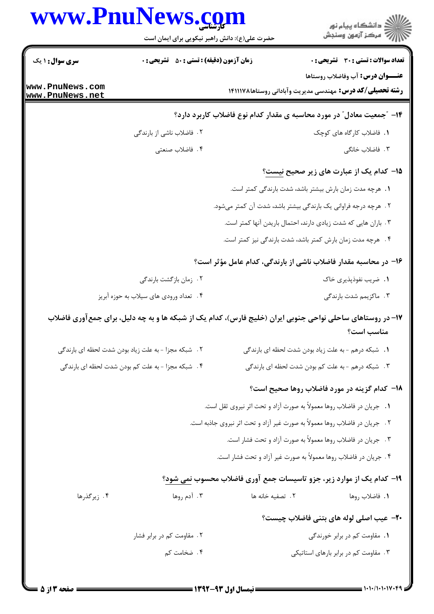|                        | www.PnuNews.com                                     |                  | ر<br>دانشڪاه پيام نور)<br>ا∛ مرڪز آزمون وسنڊش                                                                            |
|------------------------|-----------------------------------------------------|------------------|--------------------------------------------------------------------------------------------------------------------------|
|                        | حضرت علی(ع): دانش راهبر نیکویی برای ایمان است       |                  |                                                                                                                          |
| <b>سری سوال : ۱ یک</b> | <b>زمان آزمون (دقیقه) : تستی : 50 ٪ تشریحی : 0</b>  |                  | <b>تعداد سوالات : تستی : 30 ٪ تشریحی : 0</b>                                                                             |
| www.PnuNews.com        |                                                     |                  | <b>عنـــوان درس:</b> آب وفاضلاب روستاها                                                                                  |
| www.PnuNews.net        |                                                     |                  | <b>رشته تحصیلی/کد درس:</b> مهندسی مدیریت وآبادانی روستاها۱۴۱۱۱۷۸                                                         |
|                        |                                                     |                  | ۱۴- "جمعیت معادل" در مورد محاسبه ی مقدار کدام نوع فاضلاب کاربرد دارد؟                                                    |
|                        | ۲. فاضلاب ناشی از بارندگی                           |                  | ١. فاضلاب كاركاه هاى كوچك                                                                                                |
|                        | ۰۴ فاضلاب صنعتي                                     |                  | ۰۳ فاضلاب خانگی                                                                                                          |
|                        |                                                     |                  | 1۵– کدام یک از عبارت های زیر صحیح نیست؟                                                                                  |
|                        |                                                     |                  | 1. هرچه مدت زمان بارش بیشتر باشد، شدت بارندگی کمتر است.                                                                  |
|                        |                                                     |                  | ۲. هرچه درجه فراوانی یک بارندگی بیشتر باشد، شدت آن کمتر میشود.                                                           |
|                        |                                                     |                  | ۰۳ باران هایی که شدت زیادی دارند، احتمال باریدن آنها کمتر است.                                                           |
|                        |                                                     |                  | ۴ . هرچه مدت زمان بارش کمتر باشد، شدت بارندگی نیز کمتر است.                                                              |
|                        |                                                     |                  | ۱۶– در محاسبه مقدار فاضلاب ناشی از بارندگی، کدام عامل مؤثر است؟                                                          |
|                        | ۰۲ زمان بازگشت بارندگی                              |                  | ۰۱ ضریب نفوذپذیری خاک                                                                                                    |
|                        | ۰۴ تعداد ورودی های سیلاب به حوزه آبریز              |                  | ۰۳ ماکزیمم شدت بارندگی                                                                                                   |
|                        |                                                     |                  | ۱۷– در روستاهای ساحلی نواحی جنوبی ایران (خلیج فارس)، کدام یک از شبکه ها و به چه دلیل، برای جمع آوری فاضلاب<br>مناسب است؟ |
|                        | ۲. شبکه مجزا - به علت زیاد بودن شدت لحظه ای بارندگی |                  | 1. شبکه درهم - به علت زياد بودن شدت لحظه اى بارندگى                                                                      |
|                        | ۴. شبکه مجزا - به علت کم بودن شدت لحظه ای بارندگی   |                  | ۳ .   شبکه درهم - به علت کم بودن شدت لحظه ای بارندگی                                                                     |
|                        |                                                     |                  | 18- كدام گزينه در مورد فاضلاب روها صحيح است؟                                                                             |
|                        |                                                     |                  | ۰۱ جریان در فاضلاب روها معمولاً به صورت آزاد و تحت اثر نیروی ثقل است.                                                    |
|                        |                                                     |                  | ۲. جریان در فاضلاب روها معمولاً به صورت غیر آزاد و تحت اثر نیروی جاذبه است.                                              |
|                        |                                                     |                  | ۰۳ جریان در فاضلاب روها معمولاً به صورت آزاد و تحت فشار است.                                                             |
|                        |                                                     |                  | ۰۴ جریان در فاضلاب روها معمولاً به صورت غیر آزاد و تحت فشار است.                                                         |
|                        |                                                     |                  | ۱۹- کدام یک از موارد زیر، جزو تاسیسات جمع آوری فاضلاب محسوب نمی شود؟                                                     |
| ۰۴ زیرگذرها            | ۰۳ آدم روها                                         | ٢. تصفيه خانه ها | ١. فاضلاب روها                                                                                                           |
|                        |                                                     |                  | <b>۲۰</b> عیب اصلی لوله های بتنی فاضلاب چیست؟                                                                            |
|                        | ۲. مقاومت کم در برابر فشار                          |                  | ۰۱ مقاومت کم در برابر خورندگی                                                                                            |
|                        | ۰۴ ضخامت کم                                         |                  | ۰۳ مقاومت کم در برابر بارهای استاتیکی                                                                                    |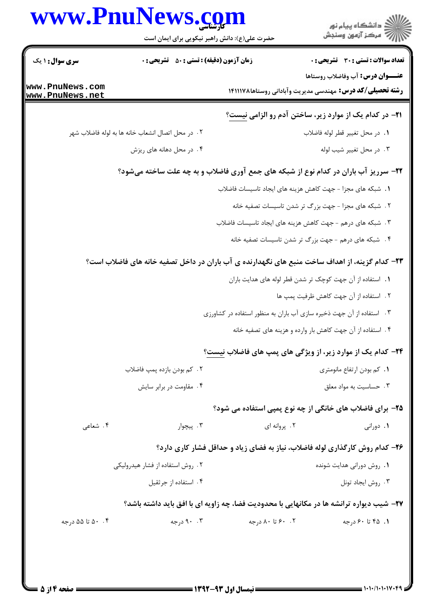|                                    | www.PnuNews.com<br>حضرت علی(ع): دانش راهبر نیکویی برای ایمان است                               |                  |                                                                                                             |
|------------------------------------|------------------------------------------------------------------------------------------------|------------------|-------------------------------------------------------------------------------------------------------------|
| سری سوال: ۱ یک                     | <b>زمان آزمون (دقیقه) : تستی : 50 ٪ تشریحی : 0</b>                                             |                  | تعداد سوالات : تستي : 30 ٪ تشريحي : 0                                                                       |
| www.PnuNews.com<br>www.PnuNews.net |                                                                                                |                  | <b>عنـــوان درس:</b> آب وفاضلاب روستاها<br><b>رشته تحصیلی/کد درس:</b> مهندسی مدیریت وآبادانی روستاها۱۴۱۱۱۷۸ |
|                                    |                                                                                                |                  | <b>۲۱</b> - در کدام یک از موارد زیر، ساختن آدم رو الزامی نیست؟                                              |
|                                    | ٢ . در محل اتصال انشعاب خانه ها به لوله فاضلاب شهر                                             |                  | ٠١. در محل تغيير قطر لوله فاضلاب                                                                            |
|                                    | ۴. در محل دهانه های ریزش                                                                       |                  | ۰۳ در محل تغییر شیب لوله                                                                                    |
|                                    | ۲۲- سرریز آب باران در کدام نوع از شبکه های جمع آوری فاضلاب و به چه علت ساخته میشود؟            |                  |                                                                                                             |
|                                    |                                                                                                |                  | 1. شبکه های مجزا - جهت کاهش هزینه های ایجاد تاسیسات فاضلاب                                                  |
|                                    |                                                                                                |                  | ۲. شبکه های مجزا - جهت بزرگ تر شدن تاسیسات تصفیه خانه                                                       |
|                                    |                                                                                                |                  | ۰۳ شبکه های درهم - جهت کاهش هزینه های ایجاد تاسیسات فاضلاب                                                  |
|                                    |                                                                                                |                  | ۴. شبکه های درهم - جهت بزرگ تر شدن تاسیسات تصفیه خانه                                                       |
|                                    | ۲۳– کدام گزینه، از اهداف ساخت منبع های نگهدارنده ی آب باران در داخل تصفیه خانه های فاضلاب است؟ |                  |                                                                                                             |
|                                    |                                                                                                |                  | 1. استفاده از آن جهت كوچک تر شدن قطر لوله های هدایت باران                                                   |
|                                    |                                                                                                |                  | ٢. استفاده از آن جهت كاهش ظرفيت پمپ ها                                                                      |
|                                    |                                                                                                |                  | ۰۳ استفاده از آن جهت ذخیره سازی آب باران به منظور استفاده در کشاورزی                                        |
|                                    |                                                                                                |                  | ۴ . استفاده از آن جهت کاهش بار وارده و هزینه های تصفیه خانه                                                 |
|                                    |                                                                                                |                  | <b>۲۴</b> - کدام یک از موارد زیر، از ویژگی های پمپ های فاضلاب نیست؟                                         |
|                                    | ٢.  کم بودن بازده پمپ فاضلاب                                                                   |                  | ۰۱ کم بودن ارتفاع مانومتری                                                                                  |
|                                    | ۰۴ مقاومت در برابر سایش                                                                        |                  | ۰۳ حساسیت به مواد معلق                                                                                      |
|                                    |                                                                                                |                  | ۲۵- برای فاضلاب های خانگی از چه نوع پمپی استفاده می شود؟                                                    |
| ۰۴ شعاعی                           | ۰۳ پیچوار                                                                                      | ۰۲ پروانه ای     | ۰۱ دورانی                                                                                                   |
|                                    |                                                                                                |                  | ۲۶- کدام روش کارگذاری لوله فاضلاب، نیاز به فضای زیاد و حداقل فشار کاری دارد؟                                |
|                                    | ۲ . روش استفاده از فشار هیدرولیکی                                                              |                  | ٠١. روش دوراني هدايت شونده                                                                                  |
|                                    | ۰۴ استفاده از جرثقیل                                                                           |                  | ۰۳ روش ایجاد تونل                                                                                           |
|                                    | ۲۷- شیب دیواره ترانشه ها در مکانهایی با محدودیت فضا، چه زاویه ای با افق باید داشته باشد؟       |                  |                                                                                                             |
| ۰.۴ ۵۰ تا ۵۵ درجه                  | ۰.۳ درجه                                                                                       | ۰. ۶۰ تا ۸۰ درجه | ۰۱. ۴۵ تا ۶۰ درجه                                                                                           |